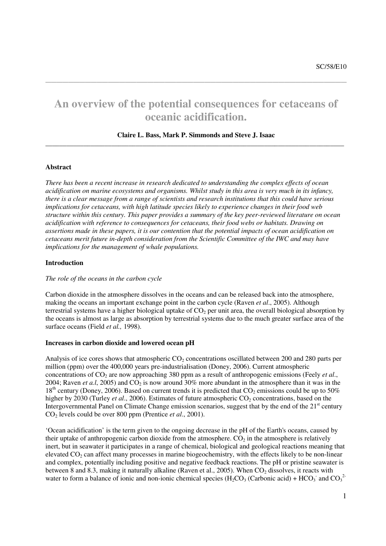# **An overview of the potential consequences for cetaceans of oceanic acidification.**

**\_\_\_\_\_\_\_\_\_\_\_\_\_\_\_\_\_\_\_\_\_\_\_\_\_\_\_\_\_\_\_\_\_\_\_\_\_\_\_\_\_\_\_\_\_\_\_\_\_\_\_\_\_** 

# **Claire L. Bass, Mark P. Simmonds and Steve J. Isaac \_\_\_\_\_\_\_\_\_\_\_\_\_\_\_\_\_\_\_\_\_\_\_\_\_\_\_\_\_\_\_\_\_\_\_\_\_\_\_\_\_\_\_\_\_\_\_\_\_\_\_\_\_\_\_\_\_\_\_\_\_\_\_\_\_\_\_\_\_\_\_\_\_\_\_\_\_\_\_\_\_\_\_\_\_\_**

#### **Abstract**

*There has been a recent increase in research dedicated to understanding the complex effects of ocean acidification on marine ecosystems and organisms. Whilst study in this area is very much in its infancy, there is a clear message from a range of scientists and research institutions that this could have serious implications for cetaceans, with high latitude species likely to experience changes in their food web structure within this century. This paper provides a summary of the key peer-reviewed literature on ocean acidification with reference to consequences for cetaceans, their food webs or habitats. Drawing on assertions made in these papers, it is our contention that the potential impacts of ocean acidification on cetaceans merit future in-depth consideration from the Scientific Committee of the IWC and may have implications for the management of whale populations.* 

## **Introduction**

#### *The role of the oceans in the carbon cycle*

Carbon dioxide in the atmosphere dissolves in the oceans and can be released back into the atmosphere, making the oceans an important exchange point in the carbon cycle (Raven *et al*., 2005). Although terrestrial systems have a higher biological uptake of  $CO<sub>2</sub>$  per unit area, the overall biological absorption by the oceans is almost as large as absorption by terrestrial systems due to the much greater surface area of the surface oceans (Field *et al.,* 1998).

#### **Increases in carbon dioxide and lowered ocean pH**

Analysis of ice cores shows that atmospheric  $CO<sub>2</sub>$  concentrations oscillated between 200 and 280 parts per million (ppm) over the 400,000 years pre-industrialisation (Doney, 2006). Current atmospheric concentrations of CO<sub>2</sub> are now approaching 380 ppm as a result of anthropogenic emissions (Feely *et al.*, 2004; Raven *et a.l.* 2005) and  $CO<sub>2</sub>$  is now around 30% more abundant in the atmosphere than it was in the  $18<sup>th</sup>$  century (Doney, 2006). Based on current trends it is predicted that  $CO<sub>2</sub>$  emissions could be up to 50% higher by 2030 (Turley *et al.*, 2006). Estimates of future atmospheric CO<sub>2</sub> concentrations, based on the Intergovernmental Panel on Climate Change emission scenarios, suggest that by the end of the 21<sup>st</sup> century CO2 levels could be over 800 ppm (Prentice *et al*., 2001).

'Ocean acidification' is the term given to the ongoing decrease in the pH of the Earth's oceans, caused by their uptake of anthropogenic carbon dioxide from the atmosphere.  $CO<sub>2</sub>$  in the atmosphere is relatively inert, but in seawater it participates in a range of chemical, biological and geological reactions meaning that elevated  $CO_2$  can affect many processes in marine biogeochemistry, with the effects likely to be non-linear and complex, potentially including positive and negative feedback reactions. The pH or pristine seawater is between 8 and 8.3, making it naturally alkaline (Raven et al., 2005). When  $CO<sub>2</sub>$  dissolves, it reacts with water to form a balance of ionic and non-ionic chemical species  $(H_2CO_3$  (Carbonic acid) +  $HCO_3^-$  and  $CO_3^{2-}$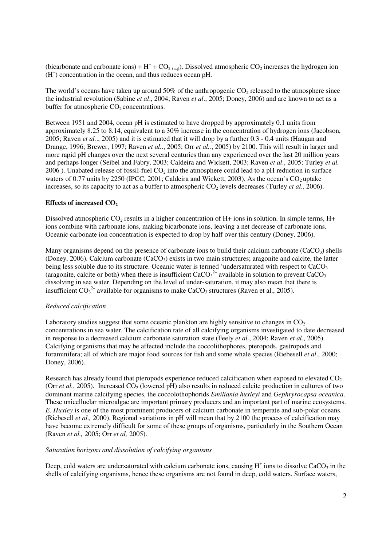(bicarbonate and carbonate ions) +  $H^+$  + CO<sub>2 (aq)</sub>). Dissolved atmospheric CO<sub>2</sub> increases the hydrogen ion (H<sup>+</sup>) concentration in the ocean, and thus reduces ocean pH.

The world's oceans have taken up around  $50\%$  of the anthropogenic CO<sub>2</sub> released to the atmosphere since the industrial revolution (Sabine *et al*., 2004; Raven *et al*., 2005; Doney, 2006) and are known to act as a buffer for atmospheric  $CO<sub>2</sub>$  concentrations.

Between 1951 and 2004, ocean pH is estimated to have dropped by approximately 0.1 units from approximately 8.25 to 8.14, equivalent to a 30% increase in the concentration of hydrogen ions (Jacobson, 2005; Raven *et al.*., 2005) and it is estimated that it will drop by a further 0.3 - 0.4 units (Haugan and Drange, 1996; Brewer, 1997; Raven *et al.*., 2005; Orr *et al..*, 2005) by 2100. This will result in larger and more rapid pH changes over the next several centuries than any experienced over the last 20 million years and perhaps longer (Seibel and Fabry, 2003; Caldeira and Wickett, 2003; Raven *et al*., 2005; Turley *et al.*  2006). Unabated release of fossil-fuel  $CO<sub>2</sub>$  into the atmosphere could lead to a pH reduction in surface waters of 0.77 units by 2250 (IPCC, 2001; Caldeira and Wickett, 2003). As the ocean's  $CO<sub>2</sub>$  uptake increases, so its capacity to act as a buffer to atmospheric  $CO<sub>2</sub>$  levels decreases (Turley *et al.*, 2006).

## **Effects of increased CO<sup>2</sup>**

Dissolved atmospheric  $CO<sub>2</sub>$  results in a higher concentration of H+ ions in solution. In simple terms, H+ ions combine with carbonate ions, making bicarbonate ions, leaving a net decrease of carbonate ions. Oceanic carbonate ion concentration is expected to drop by half over this century (Doney, 2006).

Many organisms depend on the presence of carbonate ions to build their calcium carbonate (CaCO<sub>3</sub>) shells (Doney, 2006). Calcium carbonate  $(CaCO<sub>3</sub>)$  exists in two main structures; aragonite and calcite, the latter being less soluble due to its structure. Oceanic water is termed 'undersaturated with respect to CaCO<sub>3</sub> (aragonite, calcite or both) when there is insufficient  $CaCO<sub>3</sub><sup>2</sup>$  available in solution to prevent  $CaCO<sub>3</sub>$ dissolving in sea water. Depending on the level of under-saturation, it may also mean that there is insufficient  $CO_3^2$  available for organisms to make CaCO<sub>3</sub> structures (Raven et al., 2005).

#### *Reduced calcification*

Laboratory studies suggest that some oceanic plankton are highly sensitive to changes in  $CO<sub>2</sub>$ concentrations in sea water. The calcification rate of all calcifying organisms investigated to date decreased in response to a decreased calcium carbonate saturation state (Feely *et al*., 2004; Raven *et al*., 2005). Calcifying organisms that may be affected include the coccolithophores, pteropods, gastropods and foraminifera; all of which are major food sources for fish and some whale species (Riebesell *et al*., 2000; Doney, 2006).

Research has already found that pteropods experience reduced calcification when exposed to elevated CO<sub>2</sub> (Orr *et al.*, 2005). Increased  $CO<sub>2</sub>$  (lowered pH) also results in reduced calcite production in cultures of two dominant marine calcifying species, the coccolothophorids *Emiliania huxleyi* and *Gephryrocapsa oceanica*. These unicelluclar microalgae are important primary producers and an important part of marine ecosystems. *E. Huxley* is one of the most prominent producers of calcium carbonate in temperate and sub-polar oceans. (Riebesell *et al.,* 2000). Regional variations in pH will mean that by 2100 the process of calcification may have become extremely difficult for some of these groups of organisms, particularly in the Southern Ocean (Raven *et al.,* 2005; Orr *et al,* 2005).

# *Saturation horizons and dissolution of calcifying organisms*

Deep, cold waters are undersaturated with calcium carbonate ions, causing  $H^+$  ions to dissolve CaCO<sub>3</sub> in the shells of calcifying organisms, hence these organisms are not found in deep, cold waters. Surface waters,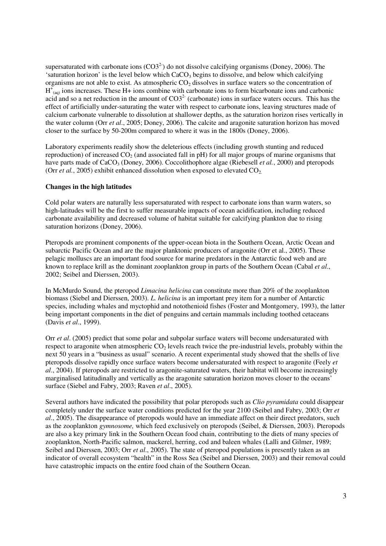supersaturated with carbonate ions  $(CO3<sup>2</sup>)$  do not dissolve calcifying organisms (Doney, 2006). The 'saturation horizon' is the level below which  $CaCO<sub>3</sub>$  begins to dissolve, and below which calcifying organisms are not able to exist. As atmospheric  $CO<sub>2</sub>$  dissolves in surface waters so the concentration of  $H^{\tau}_{(aq)}$  ions increases. These H+ ions combine with carbonate ions to form bicarbonate ions and carbonic acid and so a net reduction in the amount of  $CO3<sup>2</sup>$  (carbonate) ions in surface waters occurs. This has the effect of artificially under-saturating the water with respect to carbonate ions, leaving structures made of calcium carbonate vulnerable to dissolution at shallower depths, as the saturation horizon rises vertically in the water column (Orr *et al*., 2005; Doney, 2006). The calcite and aragonite saturation horizon has moved closer to the surface by 50-200m compared to where it was in the 1800s (Doney, 2006).

Laboratory experiments readily show the deleterious effects (including growth stunting and reduced reproduction) of increased  $CO<sub>2</sub>$  (and associated fall in pH) for all major groups of marine organisms that have parts made of CaCO<sub>3</sub> (Doney, 2006). Coccolithophore algae (Riebesell *et al.*, 2000) and pteropods (Orr *et al.*, 2005) exhibit enhanced dissolution when exposed to elevated  $CO<sub>2</sub>$ .

# **Changes in the high latitudes**

Cold polar waters are naturally less supersaturated with respect to carbonate ions than warm waters, so high-latitudes will be the first to suffer measurable impacts of ocean acidification, including reduced carbonate availability and decreased volume of habitat suitable for calcifying plankton due to rising saturation horizons (Doney, 2006).

Pteropods are prominent components of the upper-ocean biota in the Southern Ocean, Arctic Ocean and subarctic Pacific Ocean and are the major planktonic producers of aragonite (Orr et al., 2005). These pelagic molluscs are an important food source for marine predators in the Antarctic food web and are known to replace krill as the dominant zooplankton group in parts of the Southern Ocean (Cabal *et al*., 2002; Seibel and Dierssen, 2003).

In McMurdo Sound, the pteropod *Limacina helicina* can constitute more than 20% of the zooplankton biomass (Siebel and Dierssen, 2003). *L. helicina* is an important prey item for a number of Antarctic species, including whales and myctophid and notothenioid fishes (Foster and Montgomery, 1993), the latter being important components in the diet of penguins and certain mammals including toothed cetaceans (Davis *et al*., 1999).

Orr *et al*. (2005) predict that some polar and subpolar surface waters will become undersaturated with respect to aragonite when atmospheric CO<sub>2</sub> levels reach twice the pre-industrial levels, probably within the next 50 years in a "business as usual" scenario. A recent experimental study showed that the shells of live pteropods dissolve rapidly once surface waters become undersaturated with respect to aragonite (Feely *et al*., 2004). If pteropods are restricted to aragonite-saturated waters, their habitat will become increasingly marginalised latitudinally and vertically as the aragonite saturation horizon moves closer to the oceans' surface (Siebel and Fabry, 2003; Raven *et al*., 2005).

Several authors have indicated the possibility that polar pteropods such as *Clio pyramidata* could disappear completely under the surface water conditions predicted for the year 2100 (Seibel and Fabry, 2003; Orr *et al*., 2005). The disappearance of pteropods would have an immediate affect on their direct predators, such as the zooplankton *gymnosome,* which feed exclusively on pteropods (Seibel, & Dierssen, 2003). Pteropods are also a key primary link in the Southern Ocean food chain, contributing to the diets of many species of zooplankton, North-Pacific salmon, mackerel, herring, cod and baleen whales (Lalli and Gilmer, 1989; Seibel and Dierssen, 2003; Orr *et al*., 2005). The state of pteropod populations is presently taken as an indicator of overall ecosystem "health" in the Ross Sea (Seibel and Dierssen, 2003) and their removal could have catastrophic impacts on the entire food chain of the Southern Ocean.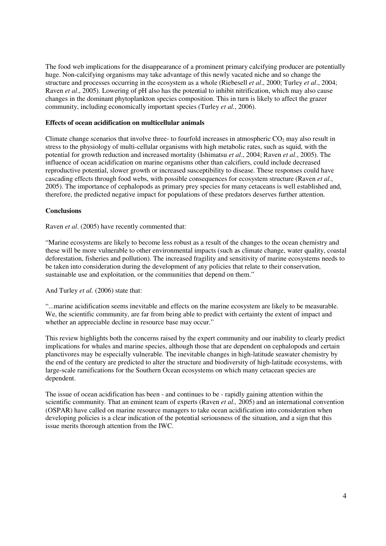The food web implications for the disappearance of a prominent primary calcifying producer are potentially huge. Non-calcifying organisms may take advantage of this newly vacated niche and so change the structure and processes occurring in the ecosystem as a whole (Riebesell *et al*., 2000; Turley *et al*., 2004; Raven *et al*., 2005). Lowering of pH also has the potential to inhibit nitrification, which may also cause changes in the dominant phytoplankton species composition. This in turn is likely to affect the grazer community, including economically important species (Turley *et al.*, 2006).

## **Effects of ocean acidification on multicellular animals**

Climate change scenarios that involve three- to fourfold increases in atmospheric  $CO<sub>2</sub>$  may also result in stress to the physiology of multi-cellular organisms with high metabolic rates, such as squid, with the potential for growth reduction and increased mortality (Ishimatsu *et al*., 2004; Raven *et al*., 2005). The influence of ocean acidification on marine organisms other than calcifiers, could include decreased reproductive potential, slower growth or increased susceptibility to disease. These responses could have cascading effects through food webs, with possible consequences for ecosystem structure (Raven *et al*., 2005). The importance of cephalopods as primary prey species for many cetaceans is well established and, therefore, the predicted negative impact for populations of these predators deserves further attention.

## **Conclusions**

Raven *et al*. (2005) have recently commented that:

"Marine ecosystems are likely to become less robust as a result of the changes to the ocean chemistry and these will be more vulnerable to other environmental impacts (such as climate change, water quality, coastal deforestation, fisheries and pollution). The increased fragility and sensitivity of marine ecosystems needs to be taken into consideration during the development of any policies that relate to their conservation, sustainable use and exploitation, or the communities that depend on them."

And Turley *et al.* (2006) state that:

"...marine acidification seems inevitable and effects on the marine ecosystem are likely to be measurable. We, the scientific community, are far from being able to predict with certainty the extent of impact and whether an appreciable decline in resource base may occur."

This review highlights both the concerns raised by the expert community and our inability to clearly predict implications for whales and marine species, although those that are dependent on cephalopods and certain planctivores may be especially vulnerable. The inevitable changes in high-latitude seawater chemistry by the end of the century are predicted to alter the structure and biodiversity of high-latitude ecosystems, with large-scale ramifications for the Southern Ocean ecosystems on which many cetacean species are dependent.

The issue of ocean acidification has been - and continues to be - rapidly gaining attention within the scientific community. That an eminent team of experts (Raven *et al.,* 2005) and an international convention (OSPAR) have called on marine resource managers to take ocean acidification into consideration when developing policies is a clear indication of the potential seriousness of the situation, and a sign that this issue merits thorough attention from the IWC.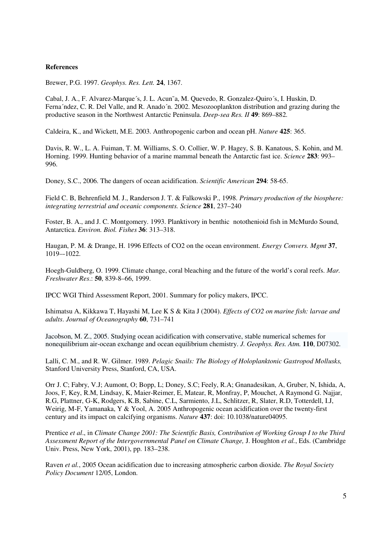# **References**

Brewer, P.G. 1997. *Geophys. Res. Lett.* **24**, 1367.

Cabal, J. A., F. Alvarez-Marque´s, J. L. Acun˜a, M. Quevedo, R. Gonzalez-Quiro´s, I. Huskin, D. Ferna´ndez, C. R. Del Valle, and R. Anado´n. 2002. Mesozooplankton distribution and grazing during the productive season in the Northwest Antarctic Peninsula. *Deep-sea Res. II* **49**: 869–882.

Caldeira, K., and Wickett, M.E. 2003. Anthropogenic carbon and ocean pH. *Nature* **425**: 365.

Davis, R. W., L. A. Fuiman, T. M. Williams, S. O. Collier, W. P. Hagey, S. B. Kanatous, S. Kohin, and M. Horning. 1999. Hunting behavior of a marine mammal beneath the Antarctic fast ice. *Science* **283**: 993– 996.

Doney, S.C., 2006. The dangers of ocean acidification. *Scientific American* **294**: 58-65.

Field C. B, Behrenfield M. J., Randerson J. T. & Falkowski P., 1998. *Primary production of the biosphere: integrating terrestrial and oceanic components. Science* **281**, 237–240

Foster, B. A., and J. C. Montgomery. 1993. Planktivory in benthic notothenioid fish in McMurdo Sound, Antarctica. *Environ. Biol. Fishes* **36**: 313–318.

Haugan, P. M. & Drange, H. 1996 Effects of CO2 on the ocean environment. *Energy Convers. Mgmt* **37**, 1019–-1022.

Hoegh-Guldberg, O. 1999. Climate change, coral bleaching and the future of the world's coral reefs. *Mar. Freshwater Res*.: **50**, 839-8–66, 1999.

IPCC WGI Third Assessment Report, 2001. Summary for policy makers, IPCC.

Ishimatsu A, Kikkawa T, Hayashi M, Lee K S & Kita J (2004). *Effects of CO2 on marine fish: larvae and adults*. *Journal of Oceanography* **60**, 731–741

Jacobson, M. Z., 2005. Studying ocean acidification with conservative, stable numerical schemes for nonequilibrium air-ocean exchange and ocean equilibrium chemistry. *J. Geophys. Res. Atm.* **110**, D07302.

Lalli, C. M., and R. W. Gilmer. 1989. *Pelagic Snails: The Biology of Holoplanktonic Gastropod Mollusks,*  Stanford University Press, Stanford, CA, USA.

Orr J. C; Fabry, V.J; Aumont, O; Bopp, L; Doney, S.C; Feely, R.A; Gnanadesikan, A, Gruber, N, Ishida, A, Joos, F, Key, R.M, Lindsay, K, Maier-Reimer, E, Matear, R, Monfray, P, Mouchet, A Raymond G. Najjar, R.G, Plattner, G-K, Rodgers, K.B, Sabine, C.L, Sarmiento, J.L, Schlitzer, R, Slater, R.D, Totterdell, I.J, Weirig, M-F, Yamanaka, Y & Yool, A. 2005 Anthropogenic ocean acidification over the twenty-first century and its impact on calcifying organisms. *Nature* **437**: doi: 10.1038/nature04095.

Prentice *et al*., in *Climate Change 2001: The Scientific Basis, Contribution of Working Group I to the Third Assessment Report of the Intergovernmental Panel on Climate Change,* J. Houghton *et al.*, Eds. (Cambridge Univ. Press, New York, 2001), pp. 183–238.

Raven *et al.*, 2005 Ocean acidification due to increasing atmospheric carbon dioxide. *The Royal Society Policy Document* 12/05, London.